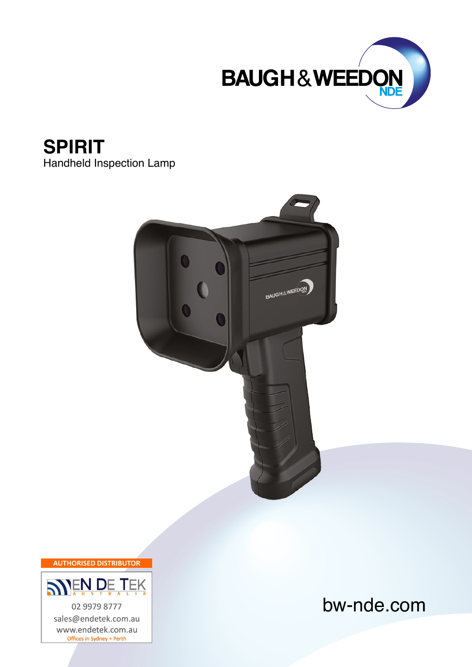

## **SPIRIT**

Handheld Inspection Lamp



**AUTHORISED DISTRIBUTOR** 



bw-nde.com